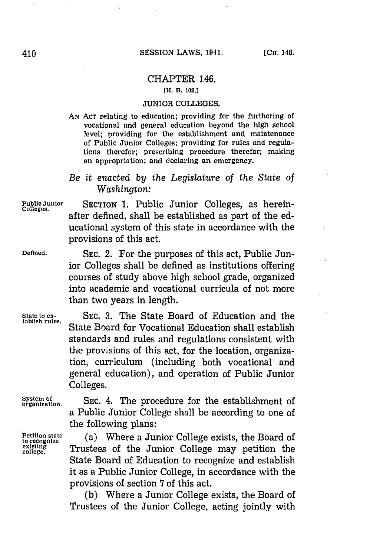## CHAPTER 146. **[H. B. 102.]**

## JUNIOR **COLLEGES.**

**AN ACT** relating to education; providing for the furthering of vocational and general education beyond the **high** school level; providing for the establishment and maintenance of Public Junior Colleges; providing for rules and regulations therefor; prescribing procedure therefor; making an appropriation; and declaring an emergency.

## *Be it enacted by the Legislature of the State of Washington:*

**Public Junior SECTION 1.** Public Junior Colleges, as herein- **Colleges.** after defined, shall be established as part of the educational system of this state in accordance with the provisions of this act.

**Defined. SEC.** 2. For the purposes of this act, Public Junior Colleges shall be defined as institutions offering courses of study above high school grade, organized into academic and vocational curricula of not more than two years in length.

**State to es- SEC. 3.** The State Board of Education and the State Board for Vocational Education shall establish standards and rules and regulations consistent with the provisions of this act, for the location, organization, curriculum (including both vocational and general education), and operation of Public Junior Colleges.

System of SEC. 4. The procedure for the establishment of a Public Junior College shall be according to one of the following plans:

Petition state **(a)** Where a Junior College exists, the Board of existing  $\frac{1}{\text{Total area}}$ to recognize<br>
existing<br>
college **coilege.** Trustees of the Junior College may petition the State Board of Education to recognize and establish it as a Public Junior College, in accordance with the provisions of section **7** of this act.

> **(b)** Where a Junior College exists, the Board of Trustees of the Junior College, acting jointly with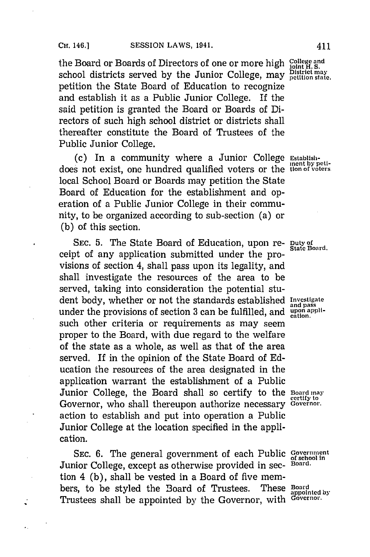the Board or Boards of Directors of one or more high **College and joint H. S.** school districts served **by** the Junior College, may **DIstrict may** petition the State Board of Education to recognize and establish it as a Public Junior College. If the said petition is granted the Board or Boards of Directors of such high school district or districts shall thereafter constitute the Board of Trustees of the Public Junior College.

(c) In a community where a Junior College **Establish-~** does not exist, one hundred qualified voters or the **tion of vo'ters** local School Board or Boards may petition the State Board of Education for the establishment and operation of a Public Junior College in their community, to be organized according to sub-section (a) or **(b)** of this section.

SEC. 5. The State Board of Education, upon re- **Duty of** State Board. ceipt of any application submitted under the provisions of section 4, shall pass upon its legality, and shall investigate the resources of the area to be served, taking into consideration the potential student body, whether or not the standards established **Investigate** under the provisions of section 3 can be fulfilled, and **upon appli**such other criteria or requirements as may seem proper to the Board, with due regard to the welfare of the state as a whole, as well as that of the area served. If in the opinion of the State Board of **Ed**ucation the resources of the area designated in the application warrant the establishment of a Public Junior College, the Board shall so certify to the **Board may** Governor, who shall thereupon authorize necessary **Governor**. action to establish and put into operation a Public Junior College at the location specified in the application.

SEC. 6. The general government of each Public Government Junior College, except as otherwise provided in sec- **Board.** tion 4 **(b),** shall be vested in a Board of five members, to be styled the Board of Trustees. These Board Trustees shall be appointed **by** the Governor, with **Governor.**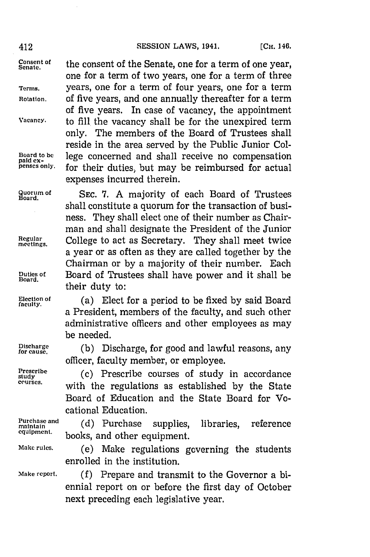Consent of the consent of the Senate, one for a term of one year, one for a term of two years, one for a term of three **Terms.** years, one for a term of four years, one for a term **Rotation,** of five years, and one annually thereafter for a term of five years. In case of vacancy, the appointment **Vacancy.** to **fill,** the vacancy shall be for the unexpired term only. The members of the Board of Trustees shall reside in the area served **by** the Public Junior Col-Board to be **lege concerned and shall receive no compensation** paid ex-<br>paid ex- **paid in the paid of a concerned** for actual for their duties, but may be reimbursed for actual expenses incurred therein.

Quorum of SEC. 7. A majority of each Board of Trustees shall constitute a quorum for the transaction of business. They shall elect one of their number as Chairman and shall designate the President of the Junior **metiugar** College to act as Secretary. They shall meet twice a year or as often as they are called together **by** the Chairman or **by** a majority of their number. Each **Duties of** Board of Trustees shall have power and it shall be **Board.** their duty to:

Election of (a) Elect for a period to be fixed by said Board a President, members of the faculty, and such other administrative officers and other employees as may be needed.

**Discarge (b)** Discharge, for good and lawful reasons, any officer, faculty member, or employee.

Prescribe **1986** (c) Prescribe courses of study in accordance **co~urses.** with the regulations as established **by** the State Board of Education and the State Board for Vocational Education.

Purchase and (d) Purchase supplies, libraries, reference maintain<br>equipment, leading and the expression of **equipment,** books, and other equipment.

**Make rules.** (e) Make regulations governing the students enrolled in the institution.

**Make report. (f)** Prepare and transmit to the Governor a biennial report on or before the first day of October next preceding each legislative year.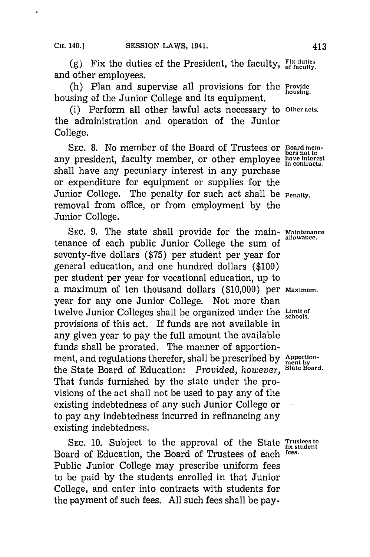(g) Fix the duties of the President, the faculty,  $\frac{Fix}{of}$  duties and other employees.

(h) Plan and supervise all provisions for the **Provide** housing of the Junior College and its equipment.

(i) Perform all other lawful acts necessary to **Other acts.** the administration and operation of the Junior College.

SEC. 8. No member of the Board of Trustees or **Board mem-**<br>bers not to any president, faculty member, or other employee have interest shall have any pecuniary interest in any purchase or expenditure for equipment or supplies for the Junior College. The penalty for such act shall be **Penalty**. removal from office, or from employment **by** the Junior College.

**SEC. 9.** The state shall provide for the main- **Maintenance** tenance of each public Junior College the sum of seventy-five dollars **(\$75)** per student per year for general education, and one hundred dollars **(\$100)** per student per year for vocational education, up to a maximum of ten thousand dollars **(\$10,000)** per **Maximum.** year for any one Junior College. Not more than twelve Junior Colleges shall be organized under the Limitor provisions of this act. If funds are not available in any given year to pay the full amount the available funds shall be prorated. The manner of apportionment, and regulations therefor, shall be prescribed by Apportionthe State Board of Education: *Provided, however,* **State Board.** That funds furnished **by** the state under the provisions of the act shall not be used to pay any of the existing indebtedness of any such Junior College or to pay any indebtedness incurred in refinancing any existing indebtedness.

SEC. 10. Subject to the approval of the State **Trustees** to Board of Education, the Board of Trustees of each **fees.** Public Junior College may prescribe uniform fees to be paid **by** the students enrolled in that Junior College, and enter into contracts with students for the payment of such fees. **All** such fees shall be pay-